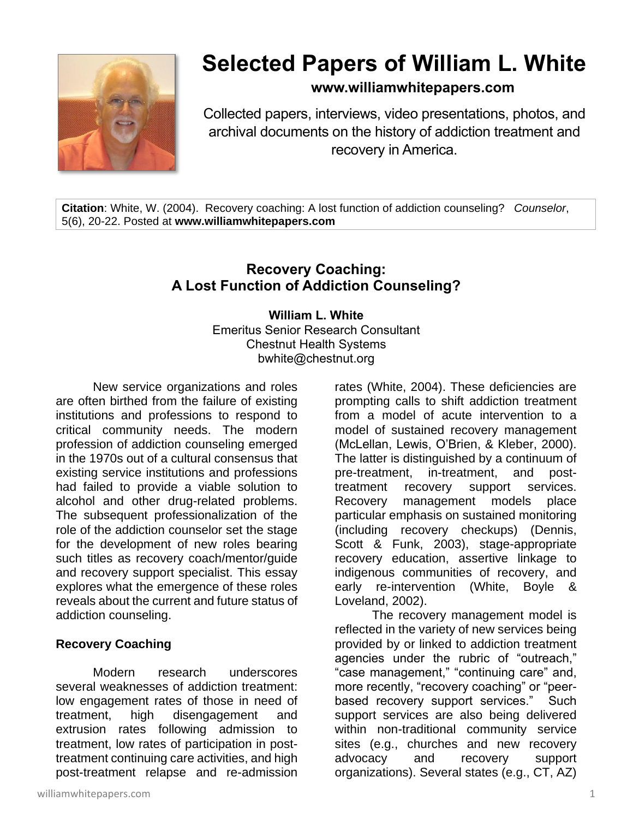

# **Selected Papers of William L. White**

**www.williamwhitepapers.com**

Collected papers, interviews, video presentations, photos, and archival documents on the history of addiction treatment and recovery in America.

**Citation**: White, W. (2004). Recovery coaching: A lost function of addiction counseling? *Counselor*, 5(6), 20-22. Posted at **www.williamwhitepapers.com**

# **Recovery Coaching: A Lost Function of Addiction Counseling?**

**William L. White** Emeritus Senior Research Consultant Chestnut Health Systems bwhite@chestnut.org

New service organizations and roles are often birthed from the failure of existing institutions and professions to respond to critical community needs. The modern profession of addiction counseling emerged in the 1970s out of a cultural consensus that existing service institutions and professions had failed to provide a viable solution to alcohol and other drug-related problems. The subsequent professionalization of the role of the addiction counselor set the stage for the development of new roles bearing such titles as recovery coach/mentor/guide and recovery support specialist. This essay explores what the emergence of these roles reveals about the current and future status of addiction counseling.

# **Recovery Coaching**

Modern research underscores several weaknesses of addiction treatment: low engagement rates of those in need of treatment, high disengagement and extrusion rates following admission to treatment, low rates of participation in posttreatment continuing care activities, and high post-treatment relapse and re-admission

rates (White, 2004). These deficiencies are prompting calls to shift addiction treatment from a model of acute intervention to a model of sustained recovery management (McLellan, Lewis, O'Brien, & Kleber, 2000). The latter is distinguished by a continuum of pre-treatment, in-treatment, and posttreatment recovery support services. Recovery management models place particular emphasis on sustained monitoring (including recovery checkups) (Dennis, Scott & Funk, 2003), stage-appropriate recovery education, assertive linkage to indigenous communities of recovery, and early re-intervention (White, Boyle & Loveland, 2002).

The recovery management model is reflected in the variety of new services being provided by or linked to addiction treatment agencies under the rubric of "outreach," "case management," "continuing care" and, more recently, "recovery coaching" or "peerbased recovery support services." Such support services are also being delivered within non-traditional community service sites (e.g., churches and new recovery advocacy and recovery support organizations). Several states (e.g., CT, AZ)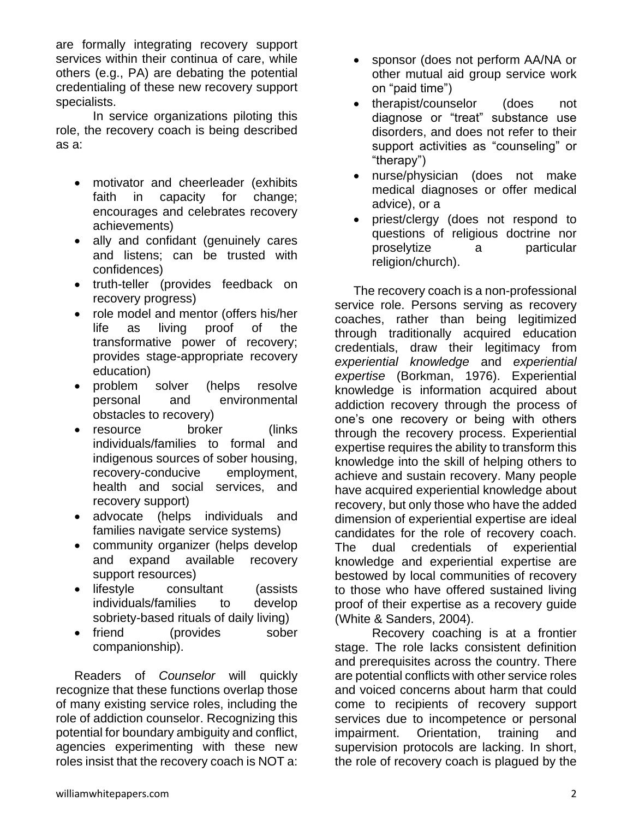are formally integrating recovery support services within their continua of care, while others (e.g., PA) are debating the potential credentialing of these new recovery support specialists.

In service organizations piloting this role, the recovery coach is being described as a:

- motivator and cheerleader (exhibits faith in capacity for change; encourages and celebrates recovery achievements)
- ally and confidant (genuinely cares and listens; can be trusted with confidences)
- truth-teller (provides feedback on recovery progress)
- role model and mentor (offers his/her life as living proof of the transformative power of recovery; provides stage-appropriate recovery education)
- problem solver (helps resolve personal and environmental obstacles to recovery)
- resource broker (links individuals/families to formal and indigenous sources of sober housing, recovery-conducive employment, health and social services, and recovery support)
- advocate (helps individuals and families navigate service systems)
- community organizer (helps develop and expand available recovery support resources)
- lifestyle consultant (assists individuals/families to develop sobriety-based rituals of daily living)
- friend (provides sober companionship).

Readers of *Counselor* will quickly recognize that these functions overlap those of many existing service roles, including the role of addiction counselor. Recognizing this potential for boundary ambiguity and conflict, agencies experimenting with these new roles insist that the recovery coach is NOT a:

- sponsor (does not perform AA/NA or other mutual aid group service work on "paid time")
- therapist/counselor (does not diagnose or "treat" substance use disorders, and does not refer to their support activities as "counseling" or "therapy")
- nurse/physician (does not make medical diagnoses or offer medical advice), or a
- priest/clergy (does not respond to questions of religious doctrine nor proselytize a particular religion/church).

The recovery coach is a non-professional service role. Persons serving as recovery coaches, rather than being legitimized through traditionally acquired education credentials, draw their legitimacy from *experiential knowledge* and *experiential expertise* (Borkman, 1976). Experiential knowledge is information acquired about addiction recovery through the process of one's one recovery or being with others through the recovery process. Experiential expertise requires the ability to transform this knowledge into the skill of helping others to achieve and sustain recovery. Many people have acquired experiential knowledge about recovery, but only those who have the added dimension of experiential expertise are ideal candidates for the role of recovery coach. The dual credentials of experiential knowledge and experiential expertise are bestowed by local communities of recovery to those who have offered sustained living proof of their expertise as a recovery guide (White & Sanders, 2004).

Recovery coaching is at a frontier stage. The role lacks consistent definition and prerequisites across the country. There are potential conflicts with other service roles and voiced concerns about harm that could come to recipients of recovery support services due to incompetence or personal impairment. Orientation, training and supervision protocols are lacking. In short, the role of recovery coach is plagued by the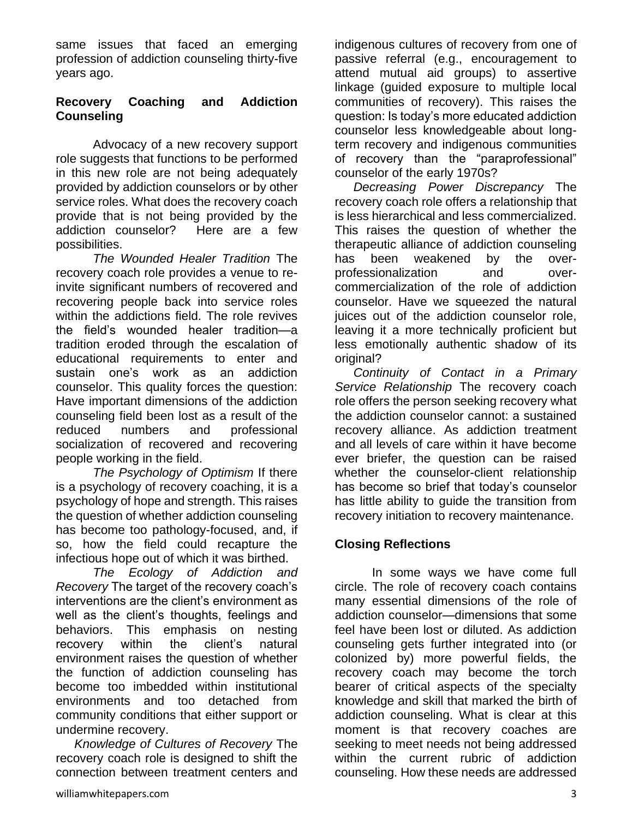same issues that faced an emerging profession of addiction counseling thirty-five years ago.

#### **Recovery Coaching and Addiction Counseling**

Advocacy of a new recovery support role suggests that functions to be performed in this new role are not being adequately provided by addiction counselors or by other service roles. What does the recovery coach provide that is not being provided by the addiction counselor? Here are a few possibilities.

*The Wounded Healer Tradition* The recovery coach role provides a venue to reinvite significant numbers of recovered and recovering people back into service roles within the addictions field. The role revives the field's wounded healer tradition—a tradition eroded through the escalation of educational requirements to enter and sustain one's work as an addiction counselor. This quality forces the question: Have important dimensions of the addiction counseling field been lost as a result of the reduced numbers and professional socialization of recovered and recovering people working in the field.

*The Psychology of Optimism* If there is a psychology of recovery coaching, it is a psychology of hope and strength. This raises the question of whether addiction counseling has become too pathology-focused, and, if so, how the field could recapture the infectious hope out of which it was birthed.

*The Ecology of Addiction and Recovery* The target of the recovery coach's interventions are the client's environment as well as the client's thoughts, feelings and behaviors. This emphasis on nesting recovery within the client's natural environment raises the question of whether the function of addiction counseling has become too imbedded within institutional environments and too detached from community conditions that either support or undermine recovery.

*Knowledge of Cultures of Recovery* The recovery coach role is designed to shift the connection between treatment centers and indigenous cultures of recovery from one of passive referral (e.g., encouragement to attend mutual aid groups) to assertive linkage (guided exposure to multiple local communities of recovery). This raises the question: Is today's more educated addiction counselor less knowledgeable about longterm recovery and indigenous communities of recovery than the "paraprofessional" counselor of the early 1970s?

*Decreasing Power Discrepancy* The recovery coach role offers a relationship that is less hierarchical and less commercialized. This raises the question of whether the therapeutic alliance of addiction counseling has been weakened by the overprofessionalization and overcommercialization of the role of addiction counselor. Have we squeezed the natural juices out of the addiction counselor role, leaving it a more technically proficient but less emotionally authentic shadow of its original?

*Continuity of Contact in a Primary Service Relationship* The recovery coach role offers the person seeking recovery what the addiction counselor cannot: a sustained recovery alliance. As addiction treatment and all levels of care within it have become ever briefer, the question can be raised whether the counselor-client relationship has become so brief that today's counselor has little ability to guide the transition from recovery initiation to recovery maintenance.

# **Closing Reflections**

In some ways we have come full circle. The role of recovery coach contains many essential dimensions of the role of addiction counselor—dimensions that some feel have been lost or diluted. As addiction counseling gets further integrated into (or colonized by) more powerful fields, the recovery coach may become the torch bearer of critical aspects of the specialty knowledge and skill that marked the birth of addiction counseling. What is clear at this moment is that recovery coaches are seeking to meet needs not being addressed within the current rubric of addiction counseling. How these needs are addressed